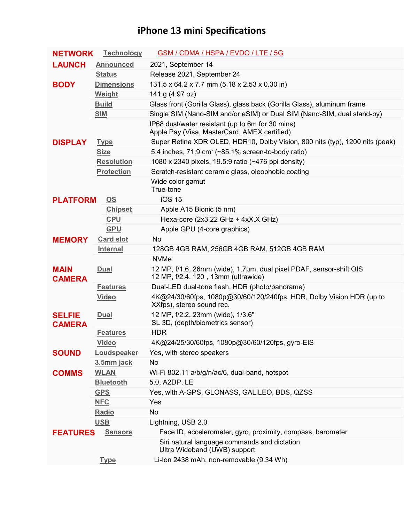## **iPhone 13 mini Specifications**

| <b>NETWORK</b>                 | <b>Technology</b> | GSM / CDMA / HSPA / EVDO / LTE / 5G                                                                         |
|--------------------------------|-------------------|-------------------------------------------------------------------------------------------------------------|
| <b>LAUNCH</b>                  | <b>Announced</b>  | 2021, September 14                                                                                          |
|                                | <b>Status</b>     | Release 2021, September 24                                                                                  |
| <b>BODY</b>                    | <b>Dimensions</b> | 131.5 x 64.2 x 7.7 mm (5.18 x 2.53 x 0.30 in)                                                               |
|                                | Weight            | 141 g (4.97 oz)                                                                                             |
|                                | <b>Build</b>      | Glass front (Gorilla Glass), glass back (Gorilla Glass), aluminum frame                                     |
|                                | <b>SIM</b>        | Single SIM (Nano-SIM and/or eSIM) or Dual SIM (Nano-SIM, dual stand-by)                                     |
|                                |                   | IP68 dust/water resistant (up to 6m for 30 mins)<br>Apple Pay (Visa, MasterCard, AMEX certified)            |
| <b>DISPLAY</b>                 | <b>Type</b>       | Super Retina XDR OLED, HDR10, Dolby Vision, 800 nits (typ), 1200 nits (peak)                                |
|                                | <b>Size</b>       | 5.4 inches, $71.9 \text{ cm}^2$ ( $\sim 85.1\%$ screen-to-body ratio)                                       |
|                                | <b>Resolution</b> | 1080 x 2340 pixels, 19.5:9 ratio (~476 ppi density)                                                         |
|                                | <b>Protection</b> | Scratch-resistant ceramic glass, oleophobic coating                                                         |
|                                |                   | Wide color gamut<br>True-tone                                                                               |
| <b>PLATFORM</b>                | OS                | <b>iOS 15</b>                                                                                               |
|                                | <b>Chipset</b>    | Apple A15 Bionic (5 nm)                                                                                     |
|                                | <b>CPU</b>        | Hexa-core (2x3.22 GHz + 4xX.X GHz)                                                                          |
|                                | <b>GPU</b>        | Apple GPU (4-core graphics)                                                                                 |
| <b>MEMORY</b>                  | <b>Card slot</b>  | No.                                                                                                         |
|                                | <b>Internal</b>   | 128GB 4GB RAM, 256GB 4GB RAM, 512GB 4GB RAM                                                                 |
|                                |                   | <b>NVMe</b>                                                                                                 |
| <b>MAIN</b><br><b>CAMERA</b>   | <b>Dual</b>       | 12 MP, f/1.6, 26mm (wide), 1.7µm, dual pixel PDAF, sensor-shift OIS<br>12 MP, f/2.4, 120°, 13mm (ultrawide) |
|                                | <b>Features</b>   | Dual-LED dual-tone flash, HDR (photo/panorama)                                                              |
|                                | <b>Video</b>      | 4K@24/30/60fps, 1080p@30/60/120/240fps, HDR, Dolby Vision HDR (up to<br>XXfps), stereo sound rec.           |
| <b>SELFIE</b><br><b>CAMERA</b> | <u>Dual</u>       | 12 MP, f/2.2, 23mm (wide), 1/3.6"<br>SL 3D, (depth/biometrics sensor)                                       |
|                                | <b>Features</b>   | <b>HDR</b>                                                                                                  |
|                                | <b>Video</b>      | 4K@24/25/30/60fps, 1080p@30/60/120fps, gyro-EIS                                                             |
| <b>SOUND</b>                   | Loudspeaker       | Yes, with stereo speakers                                                                                   |
|                                | 3.5mm jack        | No                                                                                                          |
| <b>COMMS</b>                   | <b>WLAN</b>       | Wi-Fi 802.11 a/b/g/n/ac/6, dual-band, hotspot                                                               |
|                                | <b>Bluetooth</b>  | 5.0, A2DP, LE                                                                                               |
|                                | <b>GPS</b>        | Yes, with A-GPS, GLONASS, GALILEO, BDS, QZSS                                                                |
|                                | <b>NFC</b>        | Yes                                                                                                         |
|                                | Radio             | No                                                                                                          |
|                                | <b>USB</b>        | Lightning, USB 2.0                                                                                          |
| <b>FEATURES</b>                | <b>Sensors</b>    | Face ID, accelerometer, gyro, proximity, compass, barometer                                                 |
|                                |                   | Siri natural language commands and dictation<br>Ultra Wideband (UWB) support                                |
|                                | <b>Type</b>       | Li-Ion 2438 mAh, non-removable (9.34 Wh)                                                                    |